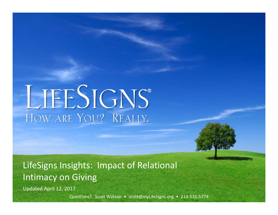# LIFESIGNS® HOW ARE YOU? REALLY.

LifeSigns Insights: Impact of Relational Intimacy on Giving

Updated April 12, 2017

Questions? Scott Watson · scott@myLifeSigns.org · 214-535-5774

**Page 0 of 12**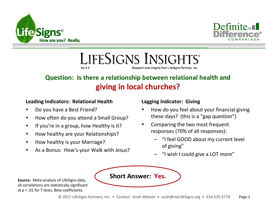



LIFESIGNS INSIGHTS®  $Vol<sub>4</sub>3$ Research and insights from LifeSigns Partners, Inc.

# **Question: Is there a relationship between relational health and giving in local churches?**

#### **Leading Indicators: Relational Health**

- ш Do you have a Best Friend?
- $\mathcal{L}_{\mathcal{A}}$ How often do you attend a Small Group?
- $\mathcal{L}_{\mathcal{A}}$ If you're in a group, how Healthy is it?
- $\blacksquare$ How healthy are your Relationships?
- П How healthy is your Marriage?
- $\mathcal{L}_{\mathcal{A}}$ As a Bonus: How's your Walk with Jesus?

#### **Lagging Indicator: Giving**

- ш How do you feel about your financial giving these days? (this is a "gap question")
- $\blacksquare$  Comparing the two most frequent responses (70% of all responses):
	- "I feel GOOD about my current level of giving"
	- "I wish I could give a LOT more"



**Source:** Meta-analysis of LifeSigns data, all correlations are statistically significant at p < .01 for T-tests, Beta coefficients.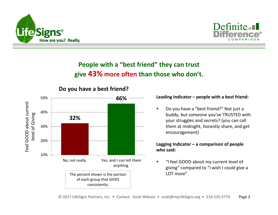



# **People with a "best friend" they can trust give 43% more often than those who don't.**



## **Do you have a best friend?**

#### **Leading Indicator – people with a best friend:**

 $\blacksquare$  Do you have a "best friend?" Not just a buddy, but someone you've TRUSTED with your struggles and secrets? (you can call them at midnight, honestly share, and get encouragement)

#### **Lagging Indicator – a comparison of people who said:**

Ē. "I feel GOOD about my current level of giving" compared to "I wish I could give a LOT more"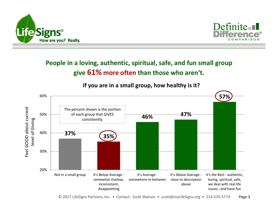



## **People in a loving, authentic, spiritual, safe, and fun small group give 61% more often than those who aren't.**

**If you are in a small group, how healthy is it?**



© 2017 LifeSigns Partners, Inc. • Contact: Scott Watson • scott@myLifeSigns.org • 214-535-5774 **Page 3**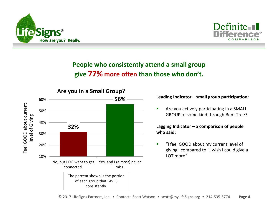



# **People who consistently attend a small group give 77% more often than those who don't.**



#### **Leading Indicator – small group participation:**

 $\blacksquare$  Are you actively participating in a SMALL GROUP of some kind through Bent Tree?

**Lagging Indicator – a comparison of people who said:**

n "I feel GOOD about my current level of giving" compared to "I wish I could give a LOT more"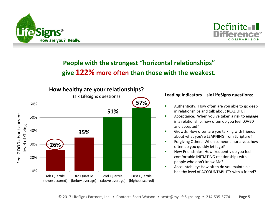



## **People with the strongest "horizontal relationships" give 122% more often than those with the weakest.**



#### **Leading Indicators – six LifeSigns questions:**

- $\blacksquare$  Authenticity: How often are you able to go deep in relationships and talk about REAL LIFE?
- Acceptance: When you've taken a risk to engage in a relationship, how often do you feel LOVED and accepted?
- Г Growth: How often are you talking with friends about what you're LEARNING from Scripture?
- ٠ Forgiving Others: When someone hurts you, how often do you quickly let it go?
- New Friendships: How frequently do you feel comfortable INITIATING relationships with people who don't know Me?
- г Accountability: How often do you maintain a healthy level of ACCOUNTABILITY with a friend?

à.

ä,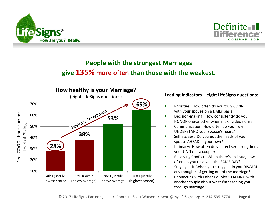



## **People with the strongest Marriages give 135% more often than those with the weakest.**



#### **Leading Indicators – eight LifeSigns questions:**

- $\blacksquare$  Priorities: How often do you truly CONNECT with your spouse on a DAILY basis?
- Ű. Decision-making: How consistently do you HONOR one-another when making decisions?
- г Communication: How often do you truly UNDERSTAND your spouse's heart?
- ٠ Selfless Sex: Do you put the needs of your spouse AHEAD of your own?
- Г Intimacy: How often do you feel sex strengthens your UNITY as a couple?
- ٠ Resolving Conflict: When there's an issue, how often do you resolve it the SAME DAY?
- × Staying at it: When you struggle, do you DISCARD any thoughts of getting out of the marriage?
- г Connecting with Other Couples: TALKING with another couple about what I'm teaching you through marriage?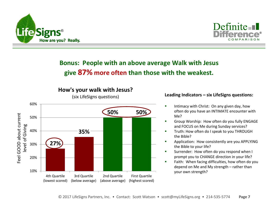



## **Bonus: People with an above average Walk with Jesus give 87% more often than those with the weakest.**



#### **Leading Indicators – six LifeSigns questions:**

- п Intimacy with Christ: On any given day, how often do you have an INTIMATE encounter with Me?
- Ű. Group Worship: How often do you fully ENGAGE and FOCUS on Me during Sunday services?
- п Truth: How often do I speak to you THROUGH the Bible?
- г Application: How consistently are you APPLYING the Bible to your life?
- Surrender: How often do you respond when I prompt you to CHANGE direction in your life?
- $\overline{\phantom{a}}$  Faith: When facing difficulties, how often do you depend on Me and My strength – rather than your own strength?

ä,